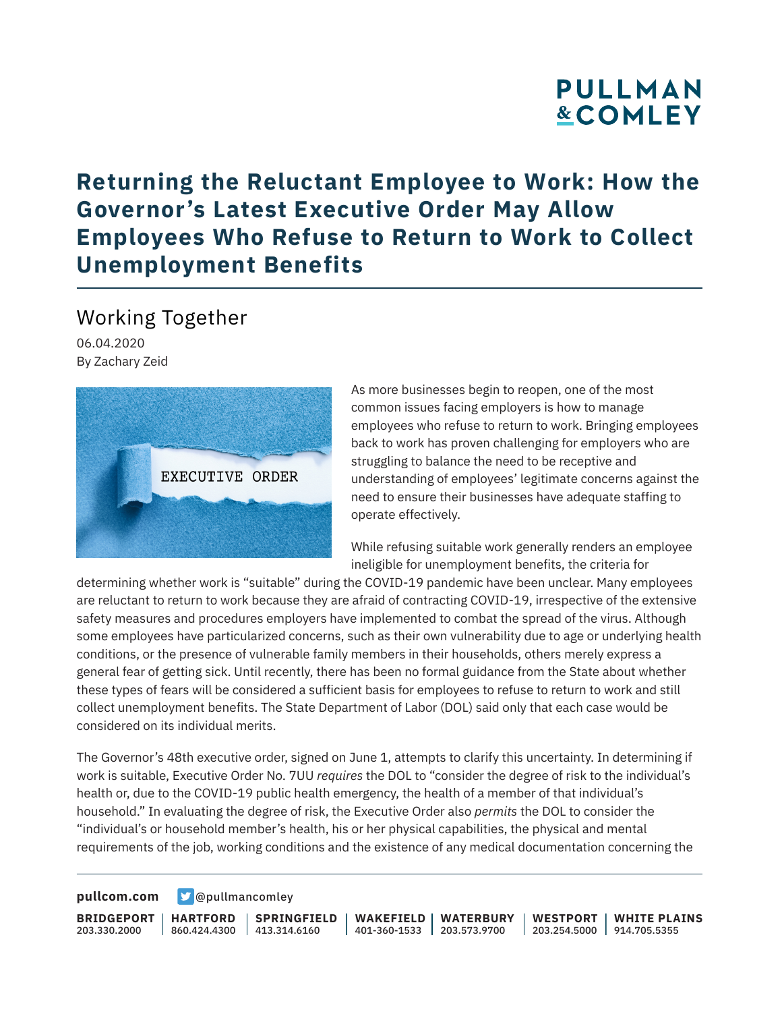## **PULLMAN &COMLEY**

### **Returning the Reluctant Employee to Work: How the Governor's Latest Executive Order May Allow Employees Who Refuse to Return to Work to Collect Unemployment Benefits**

#### Working Together

06.04.2020 By Zachary Zeid



As more businesses begin to reopen, one of the most common issues facing employers is how to manage employees who refuse to return to work. Bringing employees back to work has proven challenging for employers who are struggling to balance the need to be receptive and understanding of employees' legitimate concerns against the need to ensure their businesses have adequate staffing to operate effectively.

While refusing suitable work generally renders an employee ineligible for unemployment benefits, the criteria for

determining whether work is "suitable" during the COVID-19 pandemic have been unclear. Many employees are reluctant to return to work because they are afraid of contracting COVID-19, irrespective of the extensive safety measures and procedures employers have implemented to combat the spread of the virus. Although some employees have particularized concerns, such as their own vulnerability due to age or underlying health conditions, or the presence of vulnerable family members in their households, others merely express a general fear of getting sick. Until recently, there has been no formal guidance from the State about whether these types of fears will be considered a sufficient basis for employees to refuse to return to work and still collect unemployment benefits. The State Department of Labor (DOL) said only that each case would be considered on its individual merits.

The Governor's 48th executive order, signed on June 1, attempts to clarify this uncertainty. In determining if work is suitable, Executive Order No. 7UU *requires* the DOL to "consider the degree of risk to the individual's health or, due to the COVID-19 public health emergency, the health of a member of that individual's household." In evaluating the degree of risk, the Executive Order also *permits* the DOL to consider the "individual's or household member's health, his or her physical capabilities, the physical and mental requirements of the job, working conditions and the existence of any medical documentation concerning the

**[pullcom.com](https://www.pullcom.com) g** [@pullmancomley](https://twitter.com/PullmanComley)

**BRIDGEPORT** 203.330.2000

**HARTFORD**

860.424.4300 413.314.6160 **SPRINGFIELD** **WAKEFIELD WATERBURY** 401-360-1533 203.573.9700

**WESTPORT WHITE PLAINS** 203.254.5000 914.705.5355